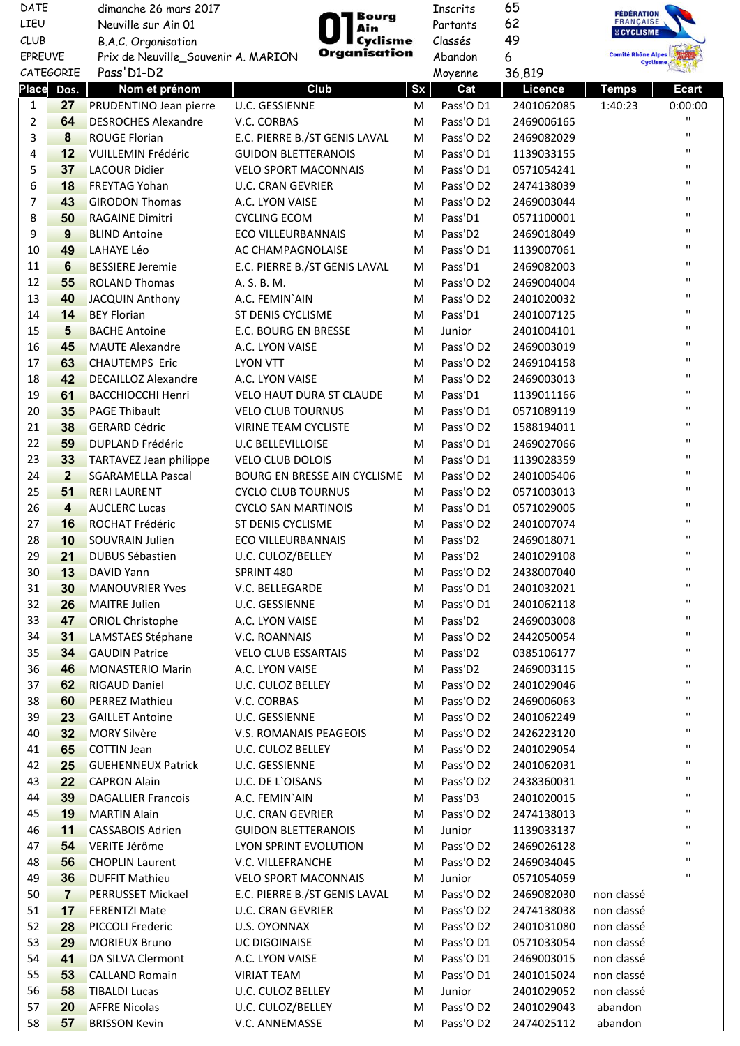| DATE           |                         | dimanche 26 mars 2017                               | Bourg                           |           | Inscrits  | 65         | <b>FÉDÉRATION</b><br>FRANÇAISE               |              |
|----------------|-------------------------|-----------------------------------------------------|---------------------------------|-----------|-----------|------------|----------------------------------------------|--------------|
| LIEU           |                         | Neuville sur Ain 01<br>Ain                          |                                 |           | Partants  | 62         | <b>E CYCLISME</b>                            |              |
| <b>CLUB</b>    |                         | Cyclisme<br>B.A.C. Organisation                     |                                 | Classés   | 49        |            |                                              |              |
| <b>EPREUVE</b> |                         | Organisation<br>Prix de Neuville_Souvenir A. MARION |                                 |           | Abandon   | 6          | <b>Comité Rhône Alpes</b><br><b>Cyclisme</b> |              |
|                | <b>CATEGORIE</b>        | Pass'D1-D2                                          |                                 |           | Moyenne   | 36,819     |                                              |              |
| <b>Place</b>   | Dos.                    | Nom et prénom                                       | Club                            | <b>Sx</b> | Cat       | Licence    | <b>Temps</b>                                 | <b>Ecart</b> |
| $\mathbf{1}$   | 27                      | PRUDENTINO Jean pierre                              | U.C. GESSIENNE                  | M         | Pass'O D1 | 2401062085 | 1:40:23                                      | 0:00:00      |
| $\overline{2}$ | 64                      | <b>DESROCHES Alexandre</b>                          | V.C. CORBAS                     | M         | Pass'O D1 | 2469006165 |                                              | п            |
| 3              | 8                       | <b>ROUGE Florian</b>                                | E.C. PIERRE B./ST GENIS LAVAL   | M         | Pass'O D2 | 2469082029 |                                              | $\mathbf{H}$ |
| 4              | 12                      | <b>VUILLEMIN Frédéric</b>                           | <b>GUIDON BLETTERANOIS</b>      | M         | Pass'O D1 | 1139033155 |                                              | п            |
| 5              | 37                      | <b>LACOUR Didier</b>                                | <b>VELO SPORT MACONNAIS</b>     | M         | Pass'O D1 | 0571054241 |                                              | п            |
| 6              | 18                      | <b>FREYTAG Yohan</b>                                | <b>U.C. CRAN GEVRIER</b>        | М         | Pass'O D2 | 2474138039 |                                              | п            |
| 7              | 43                      | <b>GIRODON Thomas</b>                               | A.C. LYON VAISE                 | М         | Pass'O D2 | 2469003044 |                                              | п            |
| 8              | 50                      | <b>RAGAINE Dimitri</b>                              | <b>CYCLING ECOM</b>             | М         | Pass'D1   | 0571100001 |                                              | п            |
| 9              | 9                       | <b>BLIND Antoine</b>                                | <b>ECO VILLEURBANNAIS</b>       | М         | Pass'D2   | 2469018049 |                                              | п            |
| 10             | 49                      | <b>LAHAYE Léo</b>                                   | AC CHAMPAGNOLAISE               | M         | Pass'O D1 | 1139007061 |                                              | п            |
| 11             | $6\phantom{1}6$         | <b>BESSIERE Jeremie</b>                             | E.C. PIERRE B./ST GENIS LAVAL   | M         | Pass'D1   | 2469082003 |                                              | п            |
| 12             | 55                      | <b>ROLAND Thomas</b>                                | A. S. B. M.                     | М         | Pass'O D2 | 2469004004 |                                              | п            |
| 13             | 40                      | <b>JACQUIN Anthony</b>                              | A.C. FEMIN'AIN                  | M         | Pass'O D2 | 2401020032 |                                              | п            |
| 14             | 14                      | <b>BEY Florian</b>                                  | ST DENIS CYCLISME               | M         | Pass'D1   | 2401007125 |                                              | п            |
| 15             | 5                       | <b>BACHE Antoine</b>                                | E.C. BOURG EN BRESSE            | M         | Junior    | 2401004101 |                                              | п            |
| 16             | 45                      | <b>MAUTE Alexandre</b>                              | A.C. LYON VAISE                 | M         | Pass'O D2 | 2469003019 |                                              | п            |
| 17             | 63                      | <b>CHAUTEMPS Eric</b>                               | <b>LYON VTT</b>                 | M         | Pass'O D2 | 2469104158 |                                              | $\mathbf{H}$ |
| 18             | 42                      | <b>DECAILLOZ Alexandre</b>                          | A.C. LYON VAISE                 | M         | Pass'O D2 | 2469003013 |                                              | п            |
| 19             | 61                      | <b>BACCHIOCCHI Henri</b>                            | <b>VELO HAUT DURA ST CLAUDE</b> | M         | Pass'D1   | 1139011166 |                                              | п            |
| 20             | 35                      | <b>PAGE Thibault</b>                                | <b>VELO CLUB TOURNUS</b>        | M         | Pass'O D1 | 0571089119 |                                              | п            |
| 21             | 38                      | <b>GERARD Cédric</b>                                | <b>VIRINE TEAM CYCLISTE</b>     | M         | Pass'O D2 | 1588194011 |                                              | п            |
| 22             | 59                      | <b>DUPLAND Frédéric</b>                             | <b>U.C BELLEVILLOISE</b>        | М         | Pass'O D1 | 2469027066 |                                              | п            |
| 23             | 33                      | TARTAVEZ Jean philippe                              | VELO CLUB DOLOIS                | М         | Pass'O D1 | 1139028359 |                                              | п            |
| 24             | $\overline{2}$          | <b>SGARAMELLA Pascal</b>                            | BOURG EN BRESSE AIN CYCLISME    | M         | Pass'O D2 | 2401005406 |                                              | п            |
| 25             | 51                      | <b>RERI LAURENT</b>                                 | <b>CYCLO CLUB TOURNUS</b>       | М         | Pass'O D2 | 0571003013 |                                              | п            |
| 26             | $\overline{\mathbf{4}}$ | <b>AUCLERC Lucas</b>                                | <b>CYCLO SAN MARTINOIS</b>      | М         | Pass'O D1 | 0571029005 |                                              | п            |
| 27             | 16                      | ROCHAT Frédéric                                     | ST DENIS CYCLISME               | М         | Pass'O D2 | 2401007074 |                                              | п            |
| 28             | 10                      | <b>SOUVRAIN Julien</b>                              | <b>ECO VILLEURBANNAIS</b>       | M         | Pass'D2   | 2469018071 |                                              | п            |
| 29             | 21                      | DUBUS Sébastien                                     | U.C. CULOZ/BELLEY               | M         | Pass'D2   | 2401029108 |                                              | $\mathbf{H}$ |
| 30             | 13                      | DAVID Yann                                          | SPRINT 480                      | M         | Pass'O D2 | 2438007040 |                                              | $\mathbf{H}$ |
| 31             | 30                      | <b>MANOUVRIER Yves</b>                              | V.C. BELLEGARDE                 | M         | Pass'O D1 | 2401032021 |                                              | п            |
| 32             | 26                      | <b>MAITRE Julien</b>                                | U.C. GESSIENNE                  | M         | Pass'O D1 | 2401062118 |                                              | п            |
| 33             | 47                      | <b>ORIOL Christophe</b>                             | A.C. LYON VAISE                 | M         | Pass'D2   | 2469003008 |                                              | $\mathbf{H}$ |
| 34             | 31                      | LAMSTAES Stéphane                                   | V.C. ROANNAIS                   | M         | Pass'O D2 | 2442050054 |                                              | $\mathbf{H}$ |
| 35             | 34                      | <b>GAUDIN Patrice</b>                               | <b>VELO CLUB ESSARTAIS</b>      | M         | Pass'D2   | 0385106177 |                                              | $\mathbf{H}$ |
| 36             | 46                      | <b>MONASTERIO Marin</b>                             | A.C. LYON VAISE                 | M         | Pass'D2   | 2469003115 |                                              | п            |
| 37             | 62                      | <b>RIGAUD Daniel</b>                                | U.C. CULOZ BELLEY               | M         | Pass'O D2 | 2401029046 |                                              | п            |
| 38             | 60                      | <b>PERREZ Mathieu</b>                               | V.C. CORBAS                     | M         | Pass'O D2 | 2469006063 |                                              | п            |
| 39             | 23                      | <b>GAILLET Antoine</b>                              | U.C. GESSIENNE                  | M         | Pass'O D2 | 2401062249 |                                              | п            |
| 40             | 32                      | <b>MORY Silvère</b>                                 | V.S. ROMANAIS PEAGEOIS          | M         | Pass'O D2 | 2426223120 |                                              | п            |
| 41             | 65                      | <b>COTTIN Jean</b>                                  | U.C. CULOZ BELLEY               | M         | Pass'O D2 | 2401029054 |                                              | п            |
| 42             | 25                      | <b>GUEHENNEUX Patrick</b>                           | U.C. GESSIENNE                  | M         | Pass'O D2 | 2401062031 |                                              | п            |
| 43             | 22                      | <b>CAPRON Alain</b>                                 | U.C. DE L'OISANS                | M         | Pass'O D2 | 2438360031 |                                              | п            |
| 44             | 39                      | <b>DAGALLIER Francois</b>                           | A.C. FEMIN'AIN                  | M         | Pass'D3   | 2401020015 |                                              | п            |
| 45             | 19                      | <b>MARTIN Alain</b>                                 | <b>U.C. CRAN GEVRIER</b>        | M         | Pass'O D2 | 2474138013 |                                              | п            |
| 46             | 11                      | CASSABOIS Adrien                                    | <b>GUIDON BLETTERANOIS</b>      | M         | Junior    | 1139033137 |                                              | $\mathbf{H}$ |
| 47             | 54                      | VERITE Jérôme                                       | LYON SPRINT EVOLUTION           | M         | Pass'O D2 | 2469026128 |                                              | $\mathbf{H}$ |
| 48             | 56                      | <b>CHOPLIN Laurent</b>                              | V.C. VILLEFRANCHE               | M         | Pass'O D2 | 2469034045 |                                              | $\mathbf{H}$ |
| 49             | 36                      | <b>DUFFIT Mathieu</b>                               | <b>VELO SPORT MACONNAIS</b>     | M         | Junior    | 0571054059 |                                              | п            |
| 50             | $\overline{7}$          | PERRUSSET Mickael                                   | E.C. PIERRE B./ST GENIS LAVAL   | M         | Pass'O D2 | 2469082030 | non classé                                   |              |
| 51             | 17                      | <b>FERENTZI Mate</b>                                | U.C. CRAN GEVRIER               | M         | Pass'O D2 | 2474138038 | non classé                                   |              |
| 52             | 28                      | <b>PICCOLI Frederic</b>                             | U.S. OYONNAX                    | M         | Pass'O D2 | 2401031080 | non classé                                   |              |
| 53             | 29                      | <b>MORIEUX Bruno</b>                                | UC DIGOINAISE                   | M         | Pass'O D1 | 0571033054 | non classé                                   |              |
| 54             | 41                      | DA SILVA Clermont                                   | A.C. LYON VAISE                 | M         | Pass'O D1 | 2469003015 | non classé                                   |              |
| 55             | 53                      | <b>CALLAND Romain</b>                               | <b>VIRIAT TEAM</b>              | M         | Pass'O D1 | 2401015024 | non classé                                   |              |
| 56             | 58                      | <b>TIBALDI Lucas</b>                                | U.C. CULOZ BELLEY               | M         | Junior    | 2401029052 | non classé                                   |              |
| 57             | 20                      | <b>AFFRE Nicolas</b>                                | U.C. CULOZ/BELLEY               | M         | Pass'O D2 | 2401029043 | abandon                                      |              |
| 58             | 57                      | <b>BRISSON Kevin</b>                                | V.C. ANNEMASSE                  | M         | Pass'O D2 | 2474025112 | abandon                                      |              |
|                |                         |                                                     |                                 |           |           |            |                                              |              |